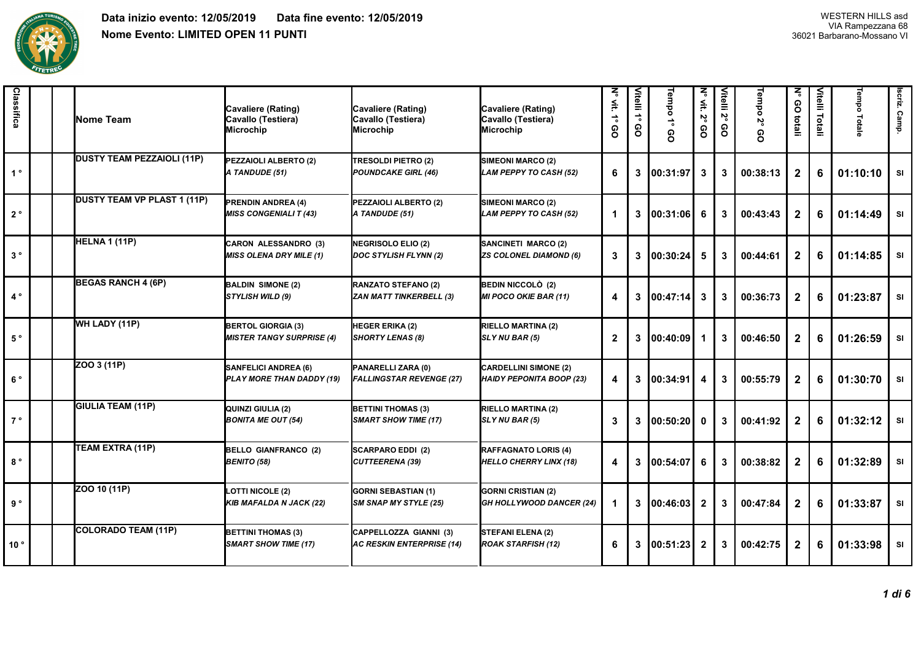

| Classifica      |  | <b>Nome Team</b>                   | Cavaliere (Rating)<br>Cavallo (Testiera)<br><b>Microchip</b>  | Cavaliere (Rating)<br>Cavallo (Testiera)<br>Microchip      | Cavaliere (Rating)<br>Cavallo (Testiera)<br>Microchip           | ζ<br>∰.<br>$\stackrel{\rightarrow}{\phantom{}_{\circ}}$<br>စ္ပ | Vitelli 1°<br>၉ | Tempo 1°<br>စ္ပ | ζ<br>$\mathop{\cong}_{}$<br>ιŠ<br>80 | Vitelli 2°<br>၉ | Tempo 2°<br>80 | z<br>80<br>totali | Vitelli Totali | Tempo<br>Totale | scriz. Camp. |
|-----------------|--|------------------------------------|---------------------------------------------------------------|------------------------------------------------------------|-----------------------------------------------------------------|----------------------------------------------------------------|-----------------|-----------------|--------------------------------------|-----------------|----------------|-------------------|----------------|-----------------|--------------|
| $1^{\circ}$     |  | <b>DUSTY TEAM PEZZAIOLI (11P)</b>  | PEZZAIOLI ALBERTO (2)<br>A TANDUDE (51)                       | <b>TRESOLDI PIETRO (2)</b><br><b>POUNDCAKE GIRL (46)</b>   | SIMEONI MARCO (2)<br>LAM PEPPY TO CASH (52)                     | 6                                                              | 3               | 00:31:97        | 3                                    | 3               | 00:38:13       | $\mathbf{2}$      | 6              | 01:10:10        | SI           |
| $2^{\circ}$     |  | <b>DUSTY TEAM VP PLAST 1 (11P)</b> | <b>PRENDIN ANDREA (4)</b><br><b>MISS CONGENIALI T (43)</b>    | PEZZAIOLI ALBERTO (2)<br>A TANDUDE (51)                    | <b>SIMEONI MARCO (2)</b><br><b>LAM PEPPY TO CASH (52)</b>       | $\mathbf{1}$                                                   | 3               | 00:31:06        | 6                                    | 3               | 00:43:43       | $\mathbf{2}$      | 6              | 01:14:49        | SI           |
| $3°$            |  | HELNA 1 (11P)                      | <b>CARON ALESSANDRO (3)</b><br><b>MISS OLENA DRY MILE (1)</b> | NEGRISOLO ELIO (2)<br>DOC STYLISH FLYNN (2)                | SANCINETI MARCO (2)<br>ZS COLONEL DIAMOND (6)                   | 3                                                              | 3               | 00:30:24        | 5                                    | 3               | 00:44:61       | $\mathbf{2}$      | 6              | 01:14:85        | SI           |
| $4^{\circ}$     |  | <b>BEGAS RANCH 4 (6P)</b>          | <b>BALDIN SIMONE (2)</b><br><b>STYLISH WILD (9)</b>           | RANZATO STEFANO (2)<br><b>ZAN MATT TINKERBELL (3)</b>      | <b>BEDIN NICCOLÒ (2)</b><br><b>MI POCO OKIE BAR (11)</b>        | 4                                                              | 3               | 100:47:14       | 3                                    | 3               | 00:36:73       | $\mathbf{2}$      | 6              | 01:23:87        | SI           |
| $5~^\circ$      |  | WH LADY (11P)                      | <b>BERTOL GIORGIA (3)</b><br><b>MISTER TANGY SURPRISE (4)</b> | HEGER ERIKA (2)<br><b>SHORTY LENAS (8)</b>                 | RIELLO MARTINA (2)<br>SLY NU BAR (5)                            | $\mathbf{2}$                                                   | 3               | 00:40:09        | 1                                    | 3               | 00:46:50       | $\mathbf{2}$      | 6              | 01:26:59        | SI           |
| $6^{\circ}$     |  | ZOO 3 (11P)                        | <b>SANFELICI ANDREA (6)</b><br>PLAY MORE THAN DADDY (19)      | PANARELLI ZARA (0)<br><b>FALLINGSTAR REVENGE (27)</b>      | <b>CARDELLINI SIMONE (2)</b><br><b>HAIDY PEPONITA BOOP (23)</b> | 4                                                              | 3               | 00:34:91        | 4                                    | 3               | 00:55:79       | $\mathbf{2}$      | 6              | 01:30:70        | SI           |
| $7^{\circ}$     |  | <b>GIULIA TEAM (11P)</b>           | QUINZI GIULIA (2)<br><b>BONITA ME OUT (54)</b>                | <b>BETTINI THOMAS (3)</b><br><b>SMART SHOW TIME (17)</b>   | <b>RIELLO MARTINA (2)</b><br><b>SLY NU BAR (5)</b>              | 3                                                              | 3               | 00:50:20        | $\mathbf{0}$                         | 3               | 00:41:92       | $\mathbf{2}$      | 6              | 01:32:12        | <b>SI</b>    |
| $8^{\circ}$     |  | TEAM EXTRA (11P)                   | <b>BELLO GIANFRANCO (2)</b><br><b>BENITO (58)</b>             | <b>SCARPARO EDDI (2)</b><br><b>CUTTEERENA (39)</b>         | <b>RAFFAGNATO LORIS (4)</b><br><b>HELLO CHERRY LINX (18)</b>    | 4                                                              | 3               | 100:54:07       | 6                                    | 3               | 00:38:82       | $\mathbf{2}$      | 6              | 01:32:89        | SI           |
| 9°              |  | ZOO 10 (11P)                       | <b>LOTTI NICOLE (2)</b><br><b>KIB MAFALDA N JACK (22)</b>     | <b>GORNI SEBASTIAN (1)</b><br><b>SM SNAP MY STYLE (25)</b> | <b>GORNI CRISTIAN (2)</b><br><b>GH HOLLYWOOD DANCER (24)</b>    | -1                                                             | 3               | 100:46:03       | $\mathbf{2}$                         | 3               | 00:47:84       | $\mathbf{2}$      | 6              | 01:33:87        | SI           |
| 10 <sup>°</sup> |  | COLORADO TEAM (11P)                | <b>BETTINI THOMAS (3)</b><br><b>SMART SHOW TIME (17)</b>      | CAPPELLOZZA GIANNI (3)<br><b>AC RESKIN ENTERPRISE (14)</b> | STEFANI ELENA (2)<br><b>ROAK STARFISH (12)</b>                  | 6                                                              | 3               | 00:51:23        | $\mathbf{2}$                         | 3               | 00:42:75       | $\mathbf{2}$      | 6              | 01:33:98        | SI           |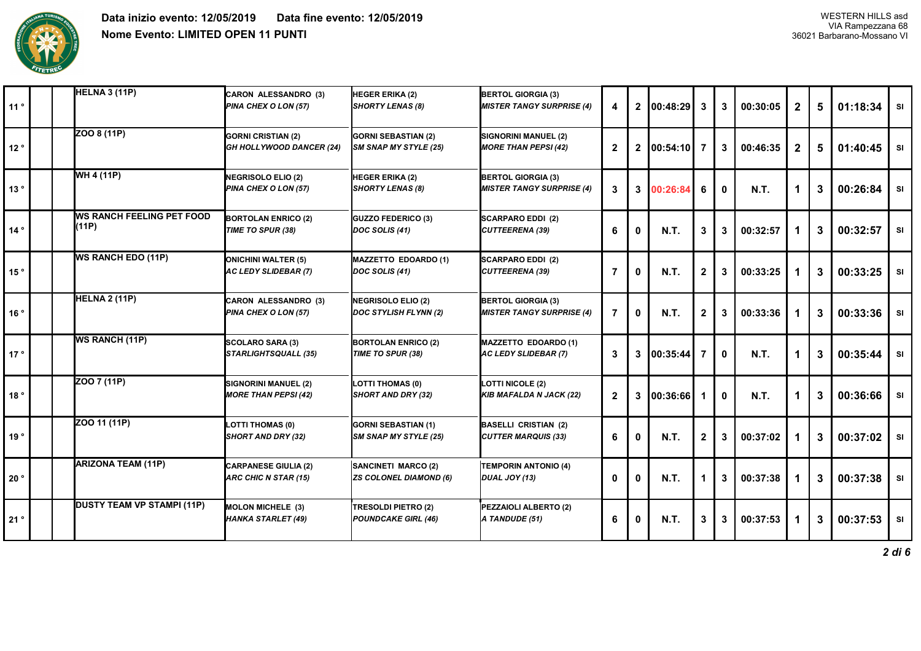

| 11°          | <b>HELNA 3 (11P)</b>                       | <b>CARON ALESSANDRO (3)</b><br>PINA CHEX O LON (57)       | HEGER ERIKA (2)<br>SHORTY LENAS (8)                      | <b>BERTOL GIORGIA (3)</b><br><b>MISTER TANGY SURPRISE (4)</b> | 4              | $\mathbf{2}$ | 00:48:29    | $\mathbf{3}$ | 3            | 00:30:05    | $\mathbf{2}$ | 5            | 01:18:34 | <b>SI</b> |
|--------------|--------------------------------------------|-----------------------------------------------------------|----------------------------------------------------------|---------------------------------------------------------------|----------------|--------------|-------------|--------------|--------------|-------------|--------------|--------------|----------|-----------|
| 12°          | ZOO 8 (11P)                                | <b>GORNI CRISTIAN (2)</b><br>GH HOLLYWOOD DANCER (24)     | <b>GORNI SEBASTIAN (2)</b><br>SM SNAP MY STYLE (25)      | SIGNORINI MANUEL (2)<br><b>MORE THAN PEPSI (42)</b>           | $\overline{2}$ | $\mathbf{2}$ | 00:54:10    | 7            | 3            | 00:46:35    | $\mathbf{2}$ | 5            | 01:40:45 | <b>SI</b> |
| 13°          | WH 4 (11P)                                 | <b>NEGRISOLO ELIO (2)</b><br>PINA CHEX O LON (57)         | HEGER ERIKA (2)<br><b>SHORTY LENAS (8)</b>               | <b>BERTOL GIORGIA (3)</b><br><b>MISTER TANGY SURPRISE (4)</b> | 3              | 3            | 00:26:84    | 6            | $\mathbf{0}$ | <b>N.T.</b> | 1            | 3            | 00:26:84 | <b>SI</b> |
| 14°          | <b>IWS RANCH FEELING PET FOOD</b><br>(11P) | <b>BORTOLAN ENRICO (2)</b><br>TIME TO SPUR (38)           | <b>GUZZO FEDERICO (3)</b><br>DOC SOLIS (41)              | <b>SCARPARO EDDI (2)</b><br>CUTTEERENA (39)                   | 6              | 0            | <b>N.T.</b> | 3            | 3            | 00:32:57    |              | 3            | 00:32:57 | <b>SI</b> |
| 15°          | <b>WS RANCH EDO (11P)</b>                  | <b>ONICHINI WALTER (5)</b><br><b>AC LEDY SLIDEBAR (7)</b> | MAZZETTO EDOARDO (1)<br>DOC SOLIS (41)                   | <b>SCARPARO EDDI (2)</b><br>CUTTEERENA (39)                   | $\overline{7}$ | 0            | <b>N.T.</b> | $\mathbf{2}$ | 3            | 00:33:25    |              | 3            | 00:33:25 | <b>SI</b> |
| 16°          | <b>HELNA 2 (11P)</b>                       | <b>CARON ALESSANDRO (3)</b><br>PINA CHEX O LON (57)       | NEGRISOLO ELIO (2)<br>DOC STYLISH FLYNN (2)              | <b>BERTOL GIORGIA (3)</b><br><b>MISTER TANGY SURPRISE (4)</b> | $\overline{7}$ | $\mathbf 0$  | N.T.        | 2            | 3            | 00:33:36    |              | 3            | 00:33:36 | <b>SI</b> |
| 17°          | <b>WS RANCH (11P)</b>                      | <b>SCOLARO SARA (3)</b><br><b>STARLIGHTSQUALL (35)</b>    | <b>BORTOLAN ENRICO (2)</b><br>TIME TO SPUR (38)          | MAZZETTO EDOARDO (1)<br>AC LEDY SLIDEBAR (7)                  | 3              | 3            | 00:35:44    | 7            | $\mathbf{0}$ | <b>N.T.</b> |              | 3            | 00:35:44 | <b>SI</b> |
| 18°          | ZOO 7 (11P)                                | SIGNORINI MANUEL (2)<br><b>MORE THAN PEPSI (42)</b>       | LOTTI THOMAS (0)<br><b>SHORT AND DRY (32)</b>            | LOTTI NICOLE (2)<br>KIB MAFALDA N JACK (22)                   | $\overline{2}$ | 3            | 00:36:66    |              | 0            | <b>N.T.</b> | 1            | 3            | 00:36:66 | <b>SI</b> |
| 19°          | ZOO 11 (11P)                               | <b>LOTTI THOMAS (0)</b><br>SHORT AND DRY (32)             | <b>GORNI SEBASTIAN (1)</b><br>SM SNAP MY STYLE (25)      | <b>BASELLI CRISTIAN (2)</b><br><b>CUTTER MARQUIS (33)</b>     | 6              | 0            | <b>N.T.</b> | $\mathbf{2}$ | 3            | 00:37:02    |              | 3            | 00:37:02 | <b>SI</b> |
| $20^{\circ}$ | <b>ARIZONA TEAM (11P)</b>                  | <b>CARPANESE GIULIA (2)</b><br>ARC CHIC N STAR (15)       | SANCINETI MARCO (2)<br><b>ZS COLONEL DIAMOND (6)</b>     | <b>TEMPORIN ANTONIO (4)</b><br>DUAL JOY (13)                  | 0              | $\mathbf{0}$ | <b>N.T.</b> | 1            | 3            | 00:37:38    |              | 3            | 00:37:38 | SI        |
| 21°          | <b>DUSTY TEAM VP STAMPI (11P)</b>          | <b>MOLON MICHELE (3)</b><br><b>HANKA STARLET (49)</b>     | <b>TRESOLDI PIETRO (2)</b><br><b>POUNDCAKE GIRL (46)</b> | PEZZAIOLI ALBERTO (2)<br>A TANDUDE (51)                       | 6              | -0           | N.T.        | 3            | 3            | 00:37:53    |              | $\mathbf{3}$ | 00:37:53 | <b>SI</b> |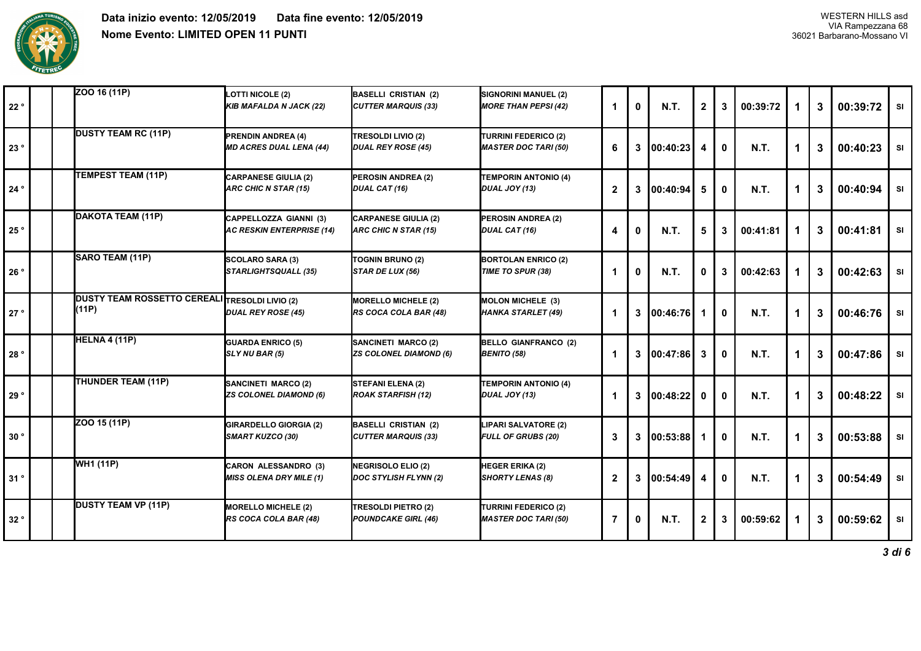

| 22° | ZOO 16 (11P)                                                   | <b>LOTTI NICOLE (2)</b><br><b>KIB MAFALDA N JACK (22)</b>     | <b>BASELLI CRISTIAN (2)</b><br><b>CUTTER MARQUIS (33)</b> | SIGNORINI MANUEL (2)<br><b>MORE THAN PEPSI (42)</b>        | 1            | $\mathbf{0}$ | <b>N.T.</b> | $\mathbf{2}$ | 3 | 00:39:72    |   | 3 | 00:39:72 | <b>SI</b> |
|-----|----------------------------------------------------------------|---------------------------------------------------------------|-----------------------------------------------------------|------------------------------------------------------------|--------------|--------------|-------------|--------------|---|-------------|---|---|----------|-----------|
| 23° | <b>DUSTY TEAM RC (11P)</b>                                     | <b>PRENDIN ANDREA (4)</b><br><b>MD ACRES DUAL LENA (44)</b>   | TRESOLDI LIVIO (2)<br>DUAL REY ROSE (45)                  | <b>TURRINI FEDERICO (2)</b><br><b>MASTER DOC TARI (50)</b> | 6            | 3            | 100:40:23   |              | 0 | <b>N.T.</b> |   | 3 | 00:40:23 | SI        |
| 24° | TEMPEST TEAM (11P)                                             | <b>CARPANESE GIULIA (2)</b><br>ARC CHIC N STAR (15)           | PEROSIN ANDREA (2)<br>DUAL CAT (16)                       | <b>TEMPORIN ANTONIO (4)</b><br>DUAL JOY (13)               | $\mathbf{2}$ | 3            | 100:40:94   | 5            | o | <b>N.T.</b> | 1 | 3 | 00:40:94 | SI        |
| 25° | DAKOTA TEAM (11P)                                              | CAPPELLOZZA GIANNI (3)<br><b>AC RESKIN ENTERPRISE (14)</b>    | <b>CARPANESE GIULIA (2)</b><br>ARC CHIC N STAR (15)       | PEROSIN ANDREA (2)<br>DUAL CAT (16)                        | 4            | 0            | <b>N.T.</b> | 5            | 3 | 00:41:81    | 1 | 3 | 00:41:81 | <b>SI</b> |
| 26° | SARO TEAM (11P)                                                | <b>SCOLARO SARA (3)</b><br><b>STARLIGHTSQUALL (35)</b>        | TOGNIN BRUNO (2)<br>STAR DE LUX (56)                      | <b>BORTOLAN ENRICO (2)</b><br>TIME TO SPUR (38)            | 1            | $\bf{0}$     | <b>N.T.</b> | O            | 3 | 00:42:63    | 1 | 3 | 00:42:63 | SI        |
| 27° | <b>DUSTY TEAM ROSSETTO CEREALI TRESOLDI LIVIO (2)</b><br>(11P) | <b>DUAL REY ROSE (45)</b>                                     | <b>MORELLO MICHELE (2)</b><br>RS COCA COLA BAR (48)       | MOLON MICHELE (3)<br>HANKA STARLET (49)                    | $\mathbf 1$  | 3            | 00:46:76    |              | 0 | <b>N.T.</b> | 1 | 3 | 00:46:76 | SI        |
| 28° | HELNA 4 (11P)                                                  | <b>GUARDA ENRICO (5)</b><br>SLY NU BAR (5)                    | SANCINETI MARCO (2)<br><b>ZS COLONEL DIAMOND (6)</b>      | <b>BELLO GIANFRANCO (2)</b><br><b>BENITO (58)</b>          | 1            | 3            | 100:47:86   | -3           | ŋ | <b>N.T.</b> |   | 3 | 00:47:86 | <b>SI</b> |
| 29° | THUNDER TEAM (11P)                                             | SANCINETI MARCO (2)<br><b>ZS COLONEL DIAMOND (6)</b>          | STEFANI ELENA (2)<br>ROAK STARFISH (12)                   | <b>TEMPORIN ANTONIO (4)</b><br>DUAL JOY (13)               | 1            | 3            | 100:48:22   | 0            |   | <b>N.T.</b> | 1 | 3 | 00:48:22 | SI        |
| 30° | Z00 15 (11P)                                                   | <b>GIRARDELLO GIORGIA (2)</b><br><b>SMART KUZCO (30)</b>      | <b>BASELLI CRISTIAN (2)</b><br><b>CUTTER MARQUIS (33)</b> | LIPARI SALVATORE (2)<br><b>FULL OF GRUBS (20)</b>          | 3            | 3            | 00:53:88    |              | O | <b>N.T.</b> | 1 | 3 | 00:53:88 | <b>SI</b> |
| 31° | <b>WH1 (11P)</b>                                               | <b>CARON ALESSANDRO (3)</b><br><b>MISS OLENA DRY MILE (1)</b> | NEGRISOLO ELIO (2)<br>DOC STYLISH FLYNN (2)               | HEGER ERIKA (2)<br><b>SHORTY LENAS (8)</b>                 | $\mathbf{2}$ | 3            | 00:54:49    | 4            | O | <b>N.T.</b> | 1 | 3 | 00:54:49 | <b>SI</b> |
| 32° | <b>DUSTY TEAM VP (11P)</b>                                     | <b>MORELLO MICHELE (2)</b><br>RS COCA COLA BAR (48)           | TRESOLDI PIETRO (2)<br>POUNDCAKE GIRL (46)                | <b>TURRINI FEDERICO (2)</b><br><b>MASTER DOC TARI (50)</b> | 7            | 0            | <b>N.T.</b> | $\mathbf{2}$ | 3 | 00:59:62    |   | 3 | 00:59:62 | <b>SI</b> |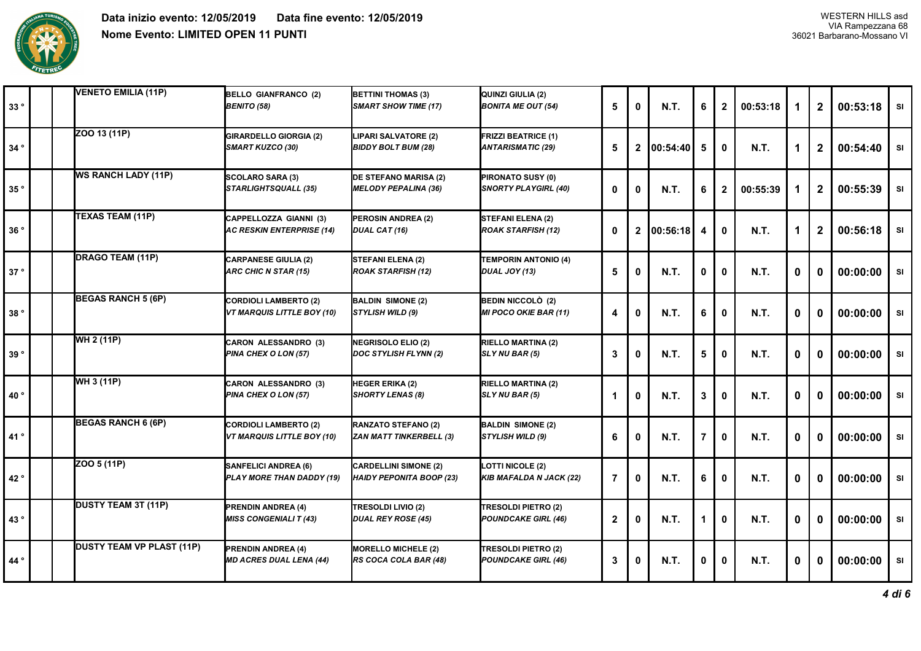

| 33° |  | <b>VENETO EMILIA (11P)</b>       | <b>BELLO GIANFRANCO (2)</b><br><b>BENITO (58)</b>                 | <b>BETTINI THOMAS (3)</b><br><b>SMART SHOW TIME (17)</b>        | QUINZI GIULIA (2)<br><b>BONITA ME OUT (54)</b>         | 5                | $\mathbf{0}$ | <b>N.T.</b> | 6 | $\mathbf{2}$ | 00:53:18    | 1 | $\mathbf{2}$ | 00:53:18 | <b>SI</b> |
|-----|--|----------------------------------|-------------------------------------------------------------------|-----------------------------------------------------------------|--------------------------------------------------------|------------------|--------------|-------------|---|--------------|-------------|---|--------------|----------|-----------|
| 34° |  | ZOO 13 (11P)                     | <b>GIRARDELLO GIORGIA (2)</b><br><b>SMART KUZCO (30)</b>          | LIPARI SALVATORE (2)<br><b>BIDDY BOLT BUM (28)</b>              | <b>FRIZZI BEATRICE (1)</b><br><b>ANTARISMATIC (29)</b> | 5                | $\mathbf{2}$ | 100:54:40   | 5 | O            | <b>N.T.</b> | 1 | $\mathbf{2}$ | 00:54:40 | SI        |
| 35° |  | <b>WS RANCH LADY (11P)</b>       | <b>SCOLARO SARA (3)</b><br><b>STARLIGHTSQUALL (35)</b>            | <b>DE STEFANO MARISA (2)</b><br><b>MELODY PEPALINA (36)</b>     | PIRONATO SUSY (0)<br><b>SNORTY PLAYGIRL (40)</b>       | $\mathbf 0$      | $\mathbf 0$  | <b>N.T.</b> | 6 | $\mathbf{2}$ | 00:55:39    | 1 | $\mathbf 2$  | 00:55:39 | SI        |
| 36° |  | TEXAS TEAM (11P)                 | CAPPELLOZZA GIANNI (3)<br><b>AC RESKIN ENTERPRISE (14)</b>        | PEROSIN ANDREA (2)<br>DUAL CAT (16)                             | <b>STEFANI ELENA (2)</b><br><b>ROAK STARFISH (12)</b>  | 0                | $\mathbf{2}$ | 00:56:18    | 4 | 0            | <b>N.T.</b> | 1 | $\mathbf 2$  | 00:56:18 | <b>SI</b> |
| 37° |  | <b>DRAGO TEAM (11P)</b>          | <b>CARPANESE GIULIA (2)</b><br>ARC CHIC N STAR (15)               | STEFANI ELENA (2)<br><b>ROAK STARFISH (12)</b>                  | <b>TEMPORIN ANTONIO (4)</b><br>DUAL JOY (13)           | 5                | 0            | <b>N.T.</b> | 0 | 0            | <b>N.T.</b> | 0 | $\bf{0}$     | 00:00:00 | <b>SI</b> |
| 38° |  | <b>BEGAS RANCH 5 (6P)</b>        | <b>CORDIOLI LAMBERTO (2)</b><br><b>VT MARQUIS LITTLE BOY (10)</b> | <b>BALDIN SIMONE (2)</b><br>STYLISH WILD (9)                    | BEDIN NICCOLÒ (2)<br><b>MI POCO OKIE BAR (11)</b>      | 4                | $\mathbf 0$  | N.T.        | 6 | 0            | <b>N.T.</b> | 0 | $\mathbf 0$  | 00:00:00 | SI        |
| 39° |  | WH 2 (11P)                       | <b>CARON ALESSANDRO (3)</b><br>PINA CHEX O LON (57)               | NEGRISOLO ELIO (2)<br><b>DOC STYLISH FLYNN (2)</b>              | <b>RIELLO MARTINA (2)</b><br>SLY NU BAR (5)            | $\mathbf{3}$     | 0            | N.T.        | 5 | 0            | <b>N.T.</b> | 0 | $\mathbf 0$  | 00:00:00 | <b>SI</b> |
| 40° |  | WH 3 (11P)                       | <b>CARON ALESSANDRO (3)</b><br>PINA CHEX O LON (57)               | HEGER ERIKA (2)<br>SHORTY LENAS (8)                             | <b>RIELLO MARTINA (2)</b><br>SLY NU BAR (5)            | -1               | 0            | <b>N.T.</b> | 3 | $\mathbf{0}$ | <b>N.T.</b> | 0 | 0            | 00:00:00 | <b>SI</b> |
| 41° |  | <b>BEGAS RANCH 6 (6P)</b>        | <b>CORDIOLI LAMBERTO (2)</b><br><b>VT MARQUIS LITTLE BOY (10)</b> | RANZATO STEFANO (2)<br><b>ZAN MATT TINKERBELL (3)</b>           | <b>BALDIN SIMONE (2)</b><br><b>STYLISH WILD (9)</b>    | 6                | $\mathbf{0}$ | <b>N.T.</b> | 7 | $\Omega$     | <b>N.T.</b> | 0 | $\bf{0}$     | 00:00:00 | <b>SI</b> |
| 42° |  | ZOO 5 (11P)                      | <b>SANFELICI ANDREA (6)</b><br>PLAY MORE THAN DADDY (19)          | <b>CARDELLINI SIMONE (2)</b><br><b>HAIDY PEPONITA BOOP (23)</b> | <b>LOTTI NICOLE (2)</b><br>KIB MAFALDA N JACK (22)     | $\overline{7}$   | $\mathbf 0$  | <b>N.T.</b> | 6 | 0            | <b>N.T.</b> | 0 | $\bf{0}$     | 00:00:00 | SI        |
| 43° |  | DUSTY TEAM 3T (11P)              | <b>PRENDIN ANDREA (4)</b><br><b>MISS CONGENIALI T (43)</b>        | TRESOLDI LIVIO (2)<br><b>DUAL REY ROSE (45)</b>                 | TRESOLDI PIETRO (2)<br><b>POUNDCAKE GIRL (46)</b>      | $\boldsymbol{2}$ | 0            | <b>N.T.</b> |   | O            | <b>N.T.</b> | 0 | 0            | 00:00:00 | SI        |
| 44° |  | <b>DUSTY TEAM VP PLAST (11P)</b> | <b>PRENDIN ANDREA (4)</b><br><b>MD ACRES DUAL LENA (44)</b>       | <b>MORELLO MICHELE (2)</b><br>RS COCA COLA BAR (48)             | TRESOLDI PIETRO (2)<br><b>POUNDCAKE GIRL (46)</b>      | 3                | 0            | <b>N.T.</b> | 0 | O            | <b>N.T.</b> | 0 | 0            | 00:00:00 | <b>SI</b> |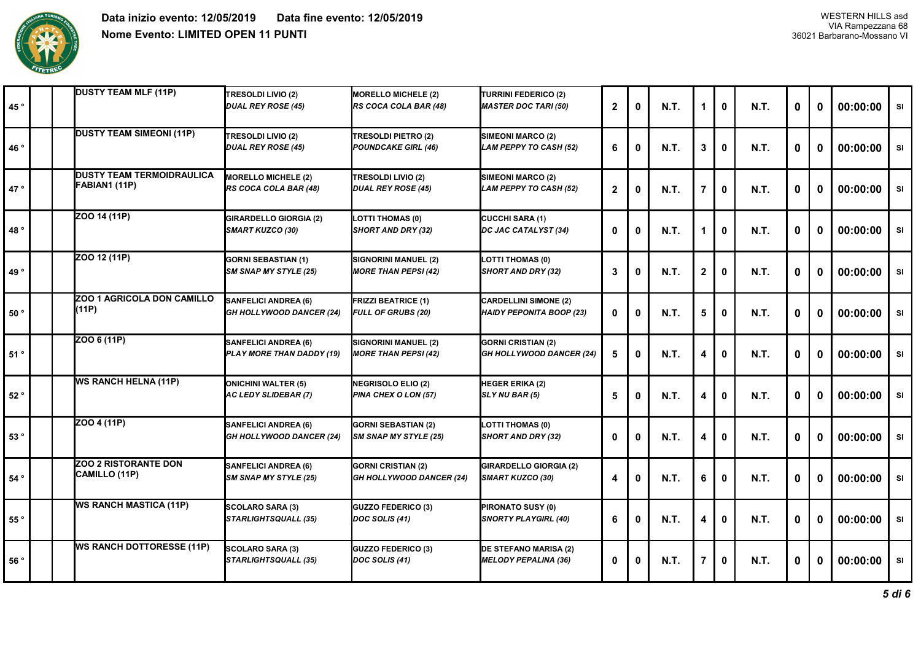

| 45°             |  | <b>DUSTY TEAM MLF (11P)</b>                       | <b>TRESOLDI LIVIO (2)</b><br><b>DUAL REY ROSE (45)</b>         | <b>MORELLO MICHELE (2)</b><br>RS COCA COLA BAR (48)          | <b>TURRINI FEDERICO (2)</b><br><b>MASTER DOC TARI (50)</b>      | $\mathbf{2}$ | 0        | <b>N.T.</b> | 1              | 0            | <b>N.T.</b> | $\mathbf{0}$ | 0            | 00:00:00 | SI        |
|-----------------|--|---------------------------------------------------|----------------------------------------------------------------|--------------------------------------------------------------|-----------------------------------------------------------------|--------------|----------|-------------|----------------|--------------|-------------|--------------|--------------|----------|-----------|
| 46°             |  | <b>DUSTY TEAM SIMEONI (11P)</b>                   | <b>TRESOLDI LIVIO (2)</b><br><b>DUAL REY ROSE (45)</b>         | TRESOLDI PIETRO (2)<br><b>POUNDCAKE GIRL (46)</b>            | SIMEONI MARCO (2)<br><b>LAM PEPPY TO CASH (52)</b>              | 6            | 0        | <b>N.T.</b> | 3              | 0            | <b>N.T.</b> | 0            | 0            | 00:00:00 | SI        |
| 47°             |  | <b>DUSTY TEAM TERMOIDRAULICA</b><br>FABIAN1 (11P) | <b>MORELLO MICHELE (2)</b><br>RS COCA COLA BAR (48)            | <b>TRESOLDI LIVIO (2)</b><br><b>DUAL REY ROSE (45)</b>       | SIMEONI MARCO (2)<br>LAM PEPPY TO CASH (52)                     | $\mathbf{2}$ | $\bf{0}$ | <b>N.T.</b> | $\overline{7}$ | $\mathbf{0}$ | <b>N.T.</b> | $\mathbf{0}$ | 0            | 00:00:00 | SI        |
| 48°             |  | ZOO 14 (11P)                                      | <b>GIRARDELLO GIORGIA (2)</b><br><b>SMART KUZCO (30)</b>       | LOTTI THOMAS (0)<br><b>SHORT AND DRY (32)</b>                | <b>CUCCHI SARA (1)</b><br>DC JAC CATALYST (34)                  | 0            | 0        | <b>N.T.</b> | 1              | 0            | <b>N.T.</b> | 0            | 0            | 00:00:00 | SI        |
| 49°             |  | ZOO 12 (11P)                                      | <b>GORNI SEBASTIAN (1)</b><br><b>SM SNAP MY STYLE (25)</b>     | SIGNORINI MANUEL (2)<br><b>MORE THAN PEPSI (42)</b>          | LOTTI THOMAS (0)<br><b>SHORT AND DRY (32)</b>                   | 3            | 0        | <b>N.T.</b> | $\mathbf{2}$   | 0            | <b>N.T.</b> | $\mathbf 0$  | 0            | 00:00:00 | SI        |
| 50°             |  | ZOO 1 AGRICOLA DON CAMILLO<br>(11P)               | <b>SANFELICI ANDREA (6)</b><br><b>GH HOLLYWOOD DANCER (24)</b> | <b>FRIZZI BEATRICE (1)</b><br><b>FULL OF GRUBS (20)</b>      | <b>CARDELLINI SIMONE (2)</b><br><b>HAIDY PEPONITA BOOP (23)</b> | 0            | 0        | <b>N.T.</b> | 5              | 0            | <b>N.T.</b> | 0            | 0            | 00:00:00 | SI        |
| 51°             |  | ZOO 6 (11P)                                       | <b>SANFELICI ANDREA (6)</b><br>PLAY MORE THAN DADDY (19)       | SIGNORINI MANUEL (2)<br><b>MORE THAN PEPSI (42)</b>          | <b>GORNI CRISTIAN (2)</b><br><b>GH HOLLYWOOD DANCER (24)</b>    | 5            | $\bf{0}$ | <b>N.T.</b> | 4              | $\bf{0}$     | <b>N.T.</b> | $\mathbf{0}$ | $\mathbf{0}$ | 00:00:00 | SI        |
| 52°             |  | <b>WS RANCH HELNA (11P)</b>                       | <b>ONICHINI WALTER (5)</b><br><b>AC LEDY SLIDEBAR (7)</b>      | <b>NEGRISOLO ELIO (2)</b><br><b>PINA CHEX O LON (57)</b>     | <b>HEGER ERIKA (2)</b><br>SLY NU BAR (5)                        | 5            | 0        | <b>N.T.</b> | 4              | 0            | <b>N.T.</b> | $\bf{0}$     | $\mathbf{0}$ | 00:00:00 | SI        |
| 53°             |  | ZOO 4 (11P)                                       | <b>SANFELICI ANDREA (6)</b><br><b>GH HOLLYWOOD DANCER (24)</b> | <b>GORNI SEBASTIAN (2)</b><br>SM SNAP MY STYLE (25)          | <b>LOTTI THOMAS (0)</b><br><b>SHORT AND DRY (32)</b>            | 0            | 0        | <b>N.T.</b> | 4              | 0            | <b>N.T.</b> | 0            | $\mathbf{0}$ | 00:00:00 | SI        |
| $54$ $^{\circ}$ |  | <b>ZOO 2 RISTORANTE DON</b><br>CAMILLO (11P)      | <b>SANFELICI ANDREA (6)</b><br><b>SM SNAP MY STYLE (25)</b>    | <b>GORNI CRISTIAN (2)</b><br><b>GH HOLLYWOOD DANCER (24)</b> | <b>GIRARDELLO GIORGIA (2)</b><br><b>SMART KUZCO (30)</b>        | 4            | 0        | <b>N.T.</b> | 6              | 0            | <b>N.T.</b> | 0            | 0            | 00:00:00 | SI        |
| 55°             |  | <b>WS RANCH MASTICA (11P)</b>                     | SCOLARO SARA (3)<br><b>STARLIGHTSQUALL (35)</b>                | GUZZO FEDERICO (3)<br>DOC SOLIS (41)                         | PIRONATO SUSY (0)<br><b>SNORTY PLAYGIRL (40)</b>                | 6            | $\bf{0}$ | <b>N.T.</b> | 4              | $\bf{0}$     | <b>N.T.</b> | $\mathbf 0$  | 0            | 00:00:00 | SI        |
| 56 °            |  | <b>WS RANCH DOTTORESSE (11P)</b>                  | <b>SCOLARO SARA (3)</b><br><b>STARLIGHTSQUALL (35)</b>         | <b>GUZZO FEDERICO (3)</b><br>DOC SOLIS (41)                  | <b>DE STEFANO MARISA (2)</b><br><b>MELODY PEPALINA (36)</b>     | 0            | $\bf{0}$ | <b>N.T.</b> | $\overline{7}$ | 0            | <b>N.T.</b> | 0            | 0            | 00:00:00 | <b>SI</b> |